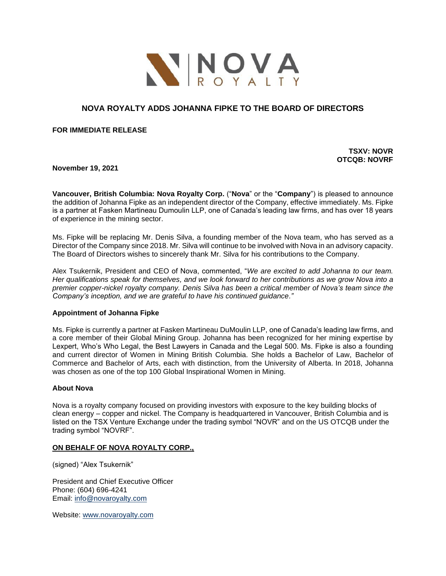

# **NOVA ROYALTY ADDS JOHANNA FIPKE TO THE BOARD OF DIRECTORS**

**FOR IMMEDIATE RELEASE** 

**TSXV: NOVR OTCQB: NOVRF**

**November 19, 2021**

**Vancouver, British Columbia: Nova Royalty Corp.** ("**Nova**" or the "**Company**") is pleased to announce the addition of Johanna Fipke as an independent director of the Company, effective immediately. Ms. Fipke is a partner at Fasken Martineau Dumoulin LLP, one of Canada's leading law firms, and has over 18 years of experience in the mining sector.

Ms. Fipke will be replacing Mr. Denis Silva, a founding member of the Nova team, who has served as a Director of the Company since 2018. Mr. Silva will continue to be involved with Nova in an advisory capacity. The Board of Directors wishes to sincerely thank Mr. Silva for his contributions to the Company.

Alex Tsukernik, President and CEO of Nova, commented, "*We are excited to add Johanna to our team. Her qualifications speak for themselves, and we look forward to her contributions as we grow Nova into a premier copper-nickel royalty company. Denis Silva has been a critical member of Nova's team since the Company's inception, and we are grateful to have his continued guidance."*

## **Appointment of Johanna Fipke**

Ms. Fipke is currently a partner at Fasken Martineau DuMoulin LLP, one of Canada's leading law firms, and a core member of their Global Mining Group. Johanna has been recognized for her mining expertise by Lexpert, Who's Who Legal, the Best Lawyers in Canada and the Legal 500. Ms. Fipke is also a founding and current director of Women in Mining British Columbia. She holds a Bachelor of Law, Bachelor of Commerce and Bachelor of Arts, each with distinction, from the University of Alberta. In 2018, Johanna was chosen as one of the top 100 Global Inspirational Women in Mining.

## **About Nova**

Nova is a royalty company focused on providing investors with exposure to the key building blocks of clean energy – copper and nickel. The Company is headquartered in Vancouver, British Columbia and is listed on the TSX Venture Exchange under the trading symbol "NOVR" and on the US OTCQB under the trading symbol "NOVRF".

## **ON BEHALF OF NOVA ROYALTY CORP.,**

(signed) "Alex Tsukernik"

President and Chief Executive Officer Phone: (604) 696-4241 Email: [info@novaroyalty.com](mailto:info@novaroyalty.com)

Website: [www.novaroyalty.com](http://www.novaroyalty.com/)